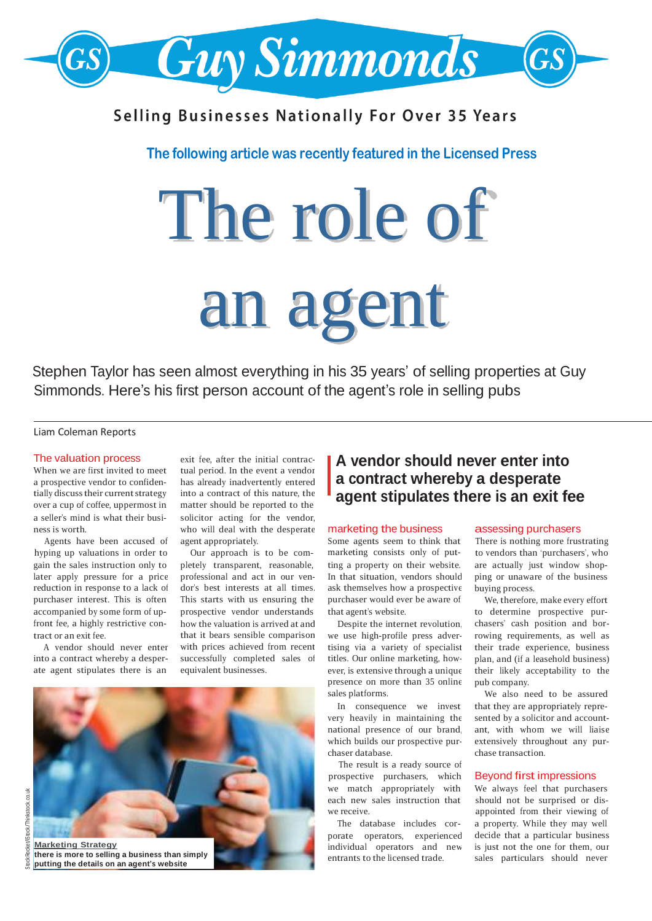

# **Selling Businesses Nationally For Over 35 Years**

## **The following article was recently featured in the Licensed Press**

# The role of an agent

Stephen Taylor has seen almost everything in his 35 years' of selling properties at Guy Simmonds. Here's his first person account of the agent's role in selling pubs

### Liam Coleman Reports

### The valuation process

When we are first invited to meet a prospective vendor to confidentially discuss their current strategy over a cup of coffee, uppermost in a seller's mind is what their business is worth.

Agents have been accused of hyping up valuations in order to later apply pressure for a price reduction in response to a lack of purchaser interest. This is often front fee, a highly restrictive contract or an exit fee.

A vendor should never enter into a contract whereby a desperate agent stipulates there is an

exit fee, after the initial contractual period. In the event a vendor has already inadvertently entered into a contract of this nature, the matter should be reported to the solicitor acting for the vendor, who will deal with the desperate agent appropriately.

Our approach is to be comprofessional and act in our vendor's best interests at all times. This starts with us ensuring the how the valuation is arrived at and that it bears sensible comparison with prices achieved from recent successfully completed sales of equivalent businesses. gain the sales instruction only to pletely transparent, reasonable, ting a property on their website. are actually just window shopaccompanied by some form of up- prospective vendor understands that agent's website. to determine prospective pur-



**there is more to selling a business than simply**

# **A vendor should never enter into a contract whereby a desperate agent stipulates there is an exit fee**

### marketing the business

Some agents seem to think that marketing consists only of put-In that situation, vendors should ask themselves how a prospective purchaser would ever be aware of

Despite the internet revolution, we use high-profile press advertising via a variety of specialist titles. Our online marketing, however, is extensive through a unique presence on more than 35 online sales platforms.

very heavily in maintaining the national presence of our brand, which builds our prospective purchaser database.

The result is a ready source of prospective purchasers, which each new sales instruction that we receive. we match appropriately with We always feel that purchasers

porate operators, experienced individual operators and new entrants to the licensed trade.

### assessing purchasers

There is nothing more frustrating to vendors than 'purchasers', who ping or unaware of the business buying process.

We, therefore, make every effort chasers' cash position and borrowing requirements, as well as their trade experience, business plan, and (if a leasehold business) their likely acceptability to the pub company.

We also need to be assured In consequence we invest that they are appropriately represented by a solicitor and accountant, with whom we will liaise extensively throughout any purchase transaction.

### Beyond first impressions

should not be surprised or disappointed from their viewing of The database includes cor- a property. While they may well decide that a particular business is just not the one for them, our sales particulars should never